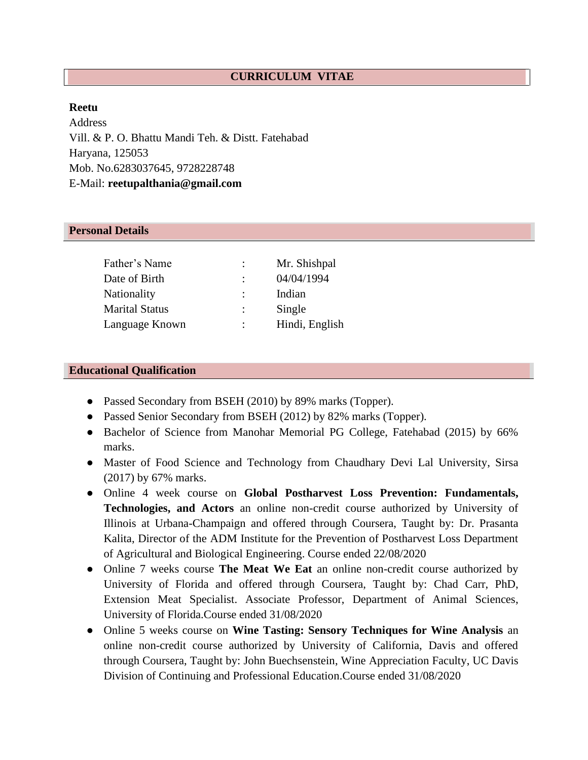# **CURRICULUM VITAE**

#### **Reetu**

Address Vill. & P. O. Bhattu Mandi Teh. & Distt. Fatehabad Haryana, 125053 Mob. No.6283037645, 9728228748 E-Mail: **reetupalthania@gmail.com**

#### **Personal Details**

| Father's Name         | $\ddot{\cdot}$       | Mr. Shishpal   |
|-----------------------|----------------------|----------------|
| Date of Birth         | $\ddot{\cdot}$       | 04/04/1994     |
| <b>Nationality</b>    | $\cdot$              | Indian         |
| <b>Marital Status</b> | $\ddot{\phantom{a}}$ | Single         |
| Language Known        | $\ddot{\cdot}$       | Hindi, English |

#### **Educational Qualification**

- Passed Secondary from BSEH (2010) by 89% marks (Topper).
- Passed Senior Secondary from BSEH (2012) by 82% marks (Topper).
- Bachelor of Science from Manohar Memorial PG College, Fatehabad (2015) by 66% marks.
- Master of Food Science and Technology from Chaudhary Devi Lal University, Sirsa (2017) by 67% marks.
- Online 4 week course on **Global Postharvest Loss Prevention: Fundamentals, Technologies, and Actors** an online non-credit course authorized by University of Illinois at Urbana-Champaign and offered through Coursera, Taught by: Dr. Prasanta Kalita, Director of the ADM Institute for the Prevention of Postharvest Loss Department of Agricultural and Biological Engineering. Course ended 22/08/2020
- Online 7 weeks course **The Meat We Eat** an online non-credit course authorized by University of Florida and offered through Coursera, Taught by: Chad Carr, PhD, Extension Meat Specialist. Associate Professor, Department of Animal Sciences, University of Florida.Course ended 31/08/2020
- Online 5 weeks course on **Wine Tasting: Sensory Techniques for Wine Analysis** an online non-credit course authorized by University of California, Davis and offered through Coursera, Taught by: John Buechsenstein, Wine Appreciation Faculty, UC Davis Division of Continuing and Professional Education.Course ended 31/08/2020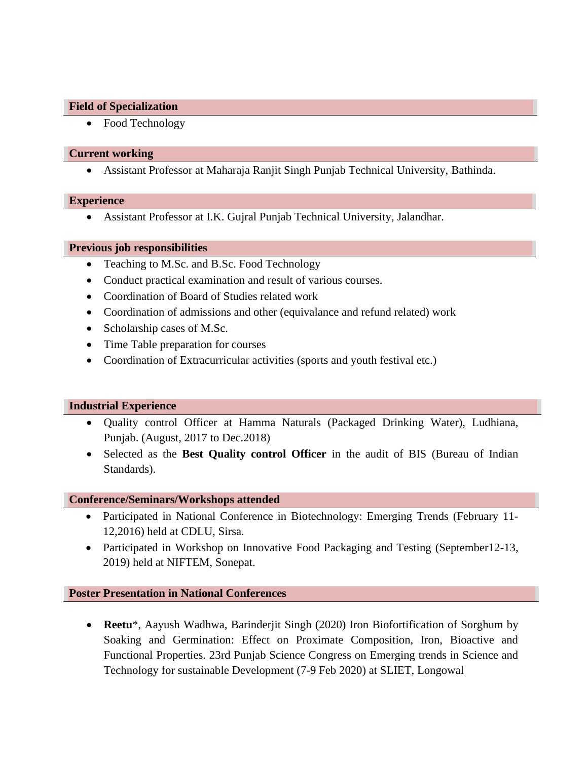#### **Field of Specialization**

• Food Technology

#### **Current working**

• Assistant Professor at Maharaja Ranjit Singh Punjab Technical University, Bathinda.

## **Experience**

• Assistant Professor at I.K. Gujral Punjab Technical University, Jalandhar.

## **Previous job responsibilities**

- Teaching to M.Sc. and B.Sc. Food Technology
- Conduct practical examination and result of various courses.
- Coordination of Board of Studies related work
- Coordination of admissions and other (equivalance and refund related) work
- Scholarship cases of M.Sc.
- Time Table preparation for courses
- Coordination of Extracurricular activities (sports and youth festival etc.)

## **Industrial Experience**

- Quality control Officer at Hamma Naturals (Packaged Drinking Water), Ludhiana, Punjab. (August, 2017 to Dec.2018)
- Selected as the **Best Quality control Officer** in the audit of BIS (Bureau of Indian Standards).

## **Conference/Seminars/Workshops attended**

- Participated in National Conference in Biotechnology: Emerging Trends (February 11- 12,2016) held at CDLU, Sirsa.
- Participated in Workshop on Innovative Food Packaging and Testing (September 12-13, 2019) held at NIFTEM, Sonepat.

## **Poster Presentation in National Conferences**

• **Reetu**\*, Aayush Wadhwa, Barinderjit Singh (2020) Iron Biofortification of Sorghum by Soaking and Germination: Effect on Proximate Composition, Iron, Bioactive and Functional Properties. 23rd Punjab Science Congress on Emerging trends in Science and Technology for sustainable Development (7-9 Feb 2020) at SLIET, Longowal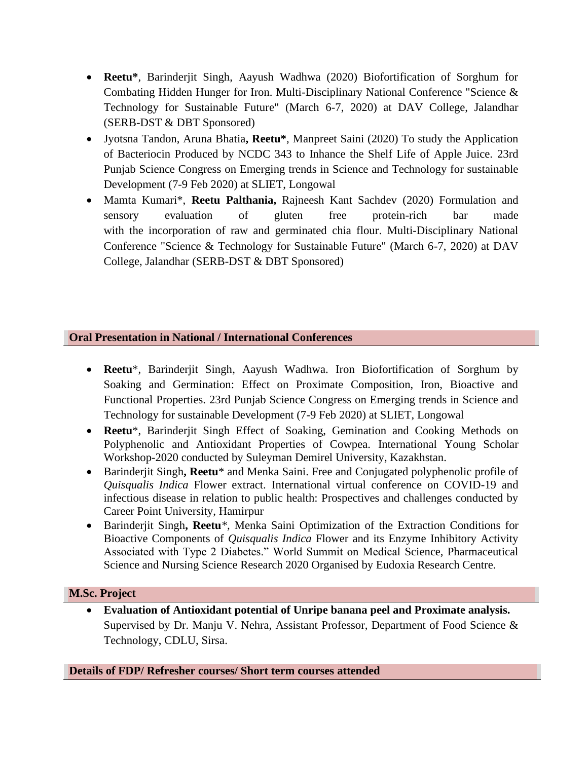- **Reetu\***, Barinderjit Singh, Aayush Wadhwa (2020) Biofortification of Sorghum for Combating Hidden Hunger for Iron. Multi-Disciplinary National Conference "Science & Technology for Sustainable Future" (March 6-7, 2020) at DAV College, Jalandhar (SERB-DST & DBT Sponsored)
- Jyotsna Tandon, Aruna Bhatia**, Reetu\***, Manpreet Saini (2020) To study the Application of Bacteriocin Produced by NCDC 343 to Inhance the Shelf Life of Apple Juice. 23rd Punjab Science Congress on Emerging trends in Science and Technology for sustainable Development (7-9 Feb 2020) at SLIET, Longowal
- Mamta Kumari\*, **Reetu Palthania,** Rajneesh Kant Sachdev (2020) Formulation and sensory evaluation of gluten free protein-rich bar made with the incorporation of raw and germinated chia flour. Multi-Disciplinary National Conference "Science & Technology for Sustainable Future" (March 6-7, 2020) at DAV College, Jalandhar (SERB-DST & DBT Sponsored)

# **Oral Presentation in National / International Conferences**

- **Reetu**\*, Barinderjit Singh, Aayush Wadhwa. Iron Biofortification of Sorghum by Soaking and Germination: Effect on Proximate Composition, Iron, Bioactive and Functional Properties. 23rd Punjab Science Congress on Emerging trends in Science and Technology for sustainable Development (7-9 Feb 2020) at SLIET, Longowal
- **Reetu**\*, Barinderjit Singh Effect of Soaking, Gemination and Cooking Methods on Polyphenolic and Antioxidant Properties of Cowpea. International Young Scholar Workshop-2020 conducted by Suleyman Demirel University, Kazakhstan.
- Barinderjit Singh**, Reetu**\* and Menka Saini. Free and Conjugated polyphenolic profile of *Quisqualis Indica* Flower extract. International virtual conference on COVID-19 and infectious disease in relation to public health: Prospectives and challenges conducted by Career Point University, Hamirpur
- Barinderjit Singh**, Reetu***\*,* Menka Saini Optimization of the Extraction Conditions for Bioactive Components of *Quisqualis Indica* Flower and its Enzyme Inhibitory Activity Associated with Type 2 Diabetes." World Summit on Medical Science, Pharmaceutical Science and Nursing Science Research 2020 Organised by Eudoxia Research Centre.

## **M.Sc. Project**

• **Evaluation of Antioxidant potential of Unripe banana peel and Proximate analysis.** Supervised by Dr. Manju V. Nehra, Assistant Professor, Department of Food Science & Technology, CDLU, Sirsa.

**Details of FDP/ Refresher courses/ Short term courses attended**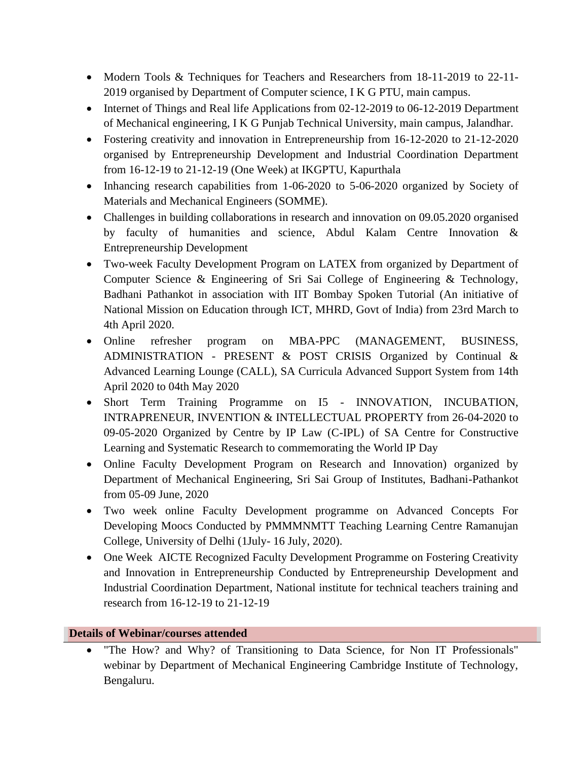- Modern Tools & Techniques for Teachers and Researchers from 18-11-2019 to 22-11- 2019 organised by Department of Computer science, I K G PTU, main campus.
- Internet of Things and Real life Applications from 02-12-2019 to 06-12-2019 Department of Mechanical engineering, I K G Punjab Technical University, main campus, Jalandhar.
- Fostering creativity and innovation in Entrepreneurship from 16-12-2020 to 21-12-2020 organised by Entrepreneurship Development and Industrial Coordination Department from 16-12-19 to 21-12-19 (One Week) at IKGPTU, Kapurthala
- Inhancing research capabilities from 1-06-2020 to 5-06-2020 organized by Society of Materials and Mechanical Engineers (SOMME).
- Challenges in building collaborations in research and innovation on 09.05.2020 organised by faculty of humanities and science, Abdul Kalam Centre Innovation & Entrepreneurship Development
- Two-week Faculty Development Program on LATEX from organized by Department of Computer Science & Engineering of Sri Sai College of Engineering & Technology, Badhani Pathankot in association with IIT Bombay Spoken Tutorial (An initiative of National Mission on Education through ICT, MHRD, Govt of India) from 23rd March to 4th April 2020.
- Online refresher program on MBA-PPC (MANAGEMENT, BUSINESS, ADMINISTRATION - PRESENT & POST CRISIS Organized by Continual & Advanced Learning Lounge (CALL), SA Curricula Advanced Support System from 14th April 2020 to 04th May 2020
- Short Term Training Programme on I5 INNOVATION, INCUBATION, INTRAPRENEUR, INVENTION & INTELLECTUAL PROPERTY from 26-04-2020 to 09-05-2020 Organized by Centre by IP Law (C-IPL) of SA Centre for Constructive Learning and Systematic Research to commemorating the World IP Day
- Online Faculty Development Program on Research and Innovation) organized by Department of Mechanical Engineering, Sri Sai Group of Institutes, Badhani-Pathankot from 05-09 June, 2020
- Two week online Faculty Development programme on Advanced Concepts For Developing Moocs Conducted by PMMMNMTT Teaching Learning Centre Ramanujan College, University of Delhi (1July- 16 July, 2020).
- One Week AICTE Recognized Faculty Development Programme on Fostering Creativity and Innovation in Entrepreneurship Conducted by Entrepreneurship Development and Industrial Coordination Department, National institute for technical teachers training and research from 16-12-19 to 21-12-19

# **Details of Webinar/courses attended**

"The How? and Why? of Transitioning to Data Science, for Non IT Professionals" webinar by Department of Mechanical Engineering Cambridge Institute of Technology, Bengaluru.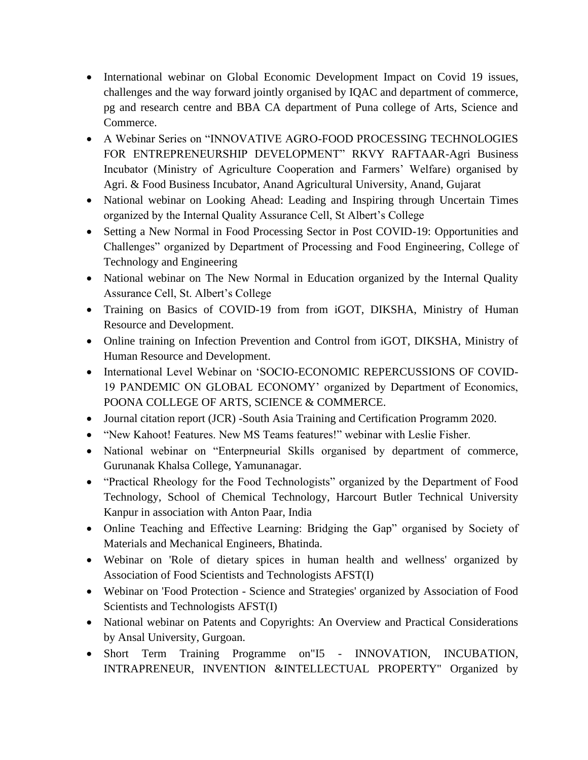- International webinar on Global Economic Development Impact on Covid 19 issues, challenges and the way forward jointly organised by IQAC and department of commerce, pg and research centre and BBA CA department of Puna college of Arts, Science and Commerce.
- A Webinar Series on "INNOVATIVE AGRO-FOOD PROCESSING TECHNOLOGIES FOR ENTREPRENEURSHIP DEVELOPMENT" RKVY RAFTAAR-Agri Business Incubator (Ministry of Agriculture Cooperation and Farmers' Welfare) organised by Agri. & Food Business Incubator, Anand Agricultural University, Anand, Gujarat
- National webinar on Looking Ahead: Leading and Inspiring through Uncertain Times organized by the Internal Quality Assurance Cell, St Albert's College
- Setting a New Normal in Food Processing Sector in Post COVID-19: Opportunities and Challenges" organized by Department of Processing and Food Engineering, College of Technology and Engineering
- National webinar on The New Normal in Education organized by the Internal Quality Assurance Cell, St. Albert's College
- Training on Basics of COVID-19 from from iGOT, DIKSHA, Ministry of Human Resource and Development.
- Online training on Infection Prevention and Control from iGOT, DIKSHA, Ministry of Human Resource and Development.
- International Level Webinar on 'SOCIO-ECONOMIC REPERCUSSIONS OF COVID-19 PANDEMIC ON GLOBAL ECONOMY' organized by Department of Economics, POONA COLLEGE OF ARTS, SCIENCE & COMMERCE.
- Journal citation report (JCR) -South Asia Training and Certification Programm 2020.
- "New Kahoot! Features. New MS Teams features!" webinar with Leslie Fisher.
- National webinar on "Enterpneurial Skills organised by department of commerce, Gurunanak Khalsa College, Yamunanagar.
- "Practical Rheology for the Food Technologists" organized by the Department of Food Technology, School of Chemical Technology, Harcourt Butler Technical University Kanpur in association with Anton Paar, India
- Online Teaching and Effective Learning: Bridging the Gap" organised by Society of Materials and Mechanical Engineers, Bhatinda.
- Webinar on 'Role of dietary spices in human health and wellness' organized by Association of Food Scientists and Technologists AFST(I)
- Webinar on 'Food Protection Science and Strategies' organized by Association of Food Scientists and Technologists AFST(I)
- National webinar on Patents and Copyrights: An Overview and Practical Considerations by Ansal University, Gurgoan.
- Short Term Training Programme on"I5 INNOVATION, INCUBATION, INTRAPRENEUR, INVENTION &INTELLECTUAL PROPERTY" Organized by